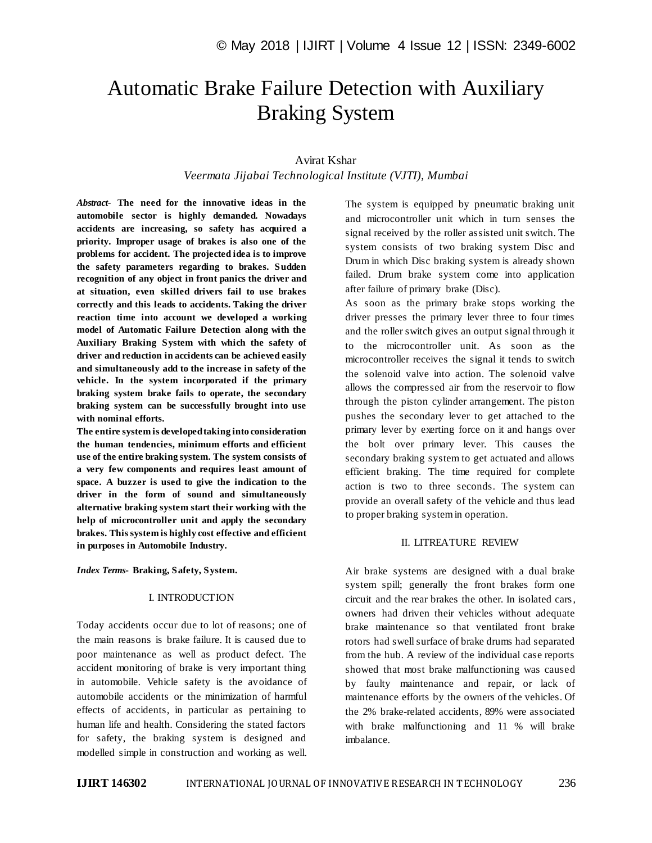# Automatic Brake Failure Detection with Auxiliary Braking System

## Avirat Kshar

*Veermata Jijabai Technological Institute (VJTI), Mumbai*

*Abstract*- **The need for the innovative ideas in the automobile sector is highly demanded. Nowadays accidents are increasing, so safety has acquired a priority. Improper usage of brakes is also one of the problems for accident. The projected idea is to improve the safety parameters regarding to brakes. Sudden recognition of any object in front panics the driver and at situation, even skilled drivers fail to use brakes correctly and this leads to accidents. Taking the driver reaction time into account we developed a working model of Automatic Failure Detection along with the Auxiliary Braking System with which the safety of driver and reduction in accidents can be achieved easily and simultaneously add to the increase in safety of the vehicle. In the system incorporated if the primary braking system brake fails to operate, the secondary braking system can be successfully brought into use with nominal efforts.** 

**The entire system is developed taking into consideration the human tendencies, minimum efforts and efficient use of the entire braking system. The system consists of a very few components and requires least amount of space. A buzzer is used to give the indication to the driver in the form of sound and simultaneously alternative braking system start their working with the help of microcontroller unit and apply the secondary brakes. This system is highly cost effective and efficient in purposes in Automobile Industry.**

*Index Terms***- Braking, Safety, System.**

#### I. INTRODUCTION

Today accidents occur due to lot of reasons; one of the main reasons is brake failure. It is caused due to poor maintenance as well as product defect. The accident monitoring of brake is very important thing in automobile. Vehicle safety is the avoidance of automobile accidents or the minimization of harmful effects of accidents, in particular as pertaining to human life and health. Considering the stated factors for safety, the braking system is designed and modelled simple in construction and working as well.

The system is equipped by pneumatic braking unit and microcontroller unit which in turn senses the signal received by the roller assisted unit switch. The system consists of two braking system Disc and Drum in which Disc braking system is already shown failed. Drum brake system come into application after failure of primary brake (Disc).

As soon as the primary brake stops working the driver presses the primary lever three to four times and the roller switch gives an output signal through it to the microcontroller unit. As soon as the microcontroller receives the signal it tends to switch the solenoid valve into action. The solenoid valve allows the compressed air from the reservoir to flow through the piston cylinder arrangement. The piston pushes the secondary lever to get attached to the primary lever by exerting force on it and hangs over the bolt over primary lever. This causes the secondary braking system to get actuated and allows efficient braking. The time required for complete action is two to three seconds. The system can provide an overall safety of the vehicle and thus lead to proper braking system in operation.

#### II. LITREATURE REVIEW

Air brake systems are designed with a dual brake system spill; generally the front brakes form one circuit and the rear brakes the other. In isolated cars, owners had driven their vehicles without adequate brake maintenance so that ventilated front brake rotors had swell surface of brake drums had separated from the hub. A review of the individual case reports showed that most brake malfunctioning was caused by faulty maintenance and repair, or lack of maintenance efforts by the owners of the vehicles. Of the 2% brake-related accidents, 89% were associated with brake malfunctioning and 11 % will brake imbalance.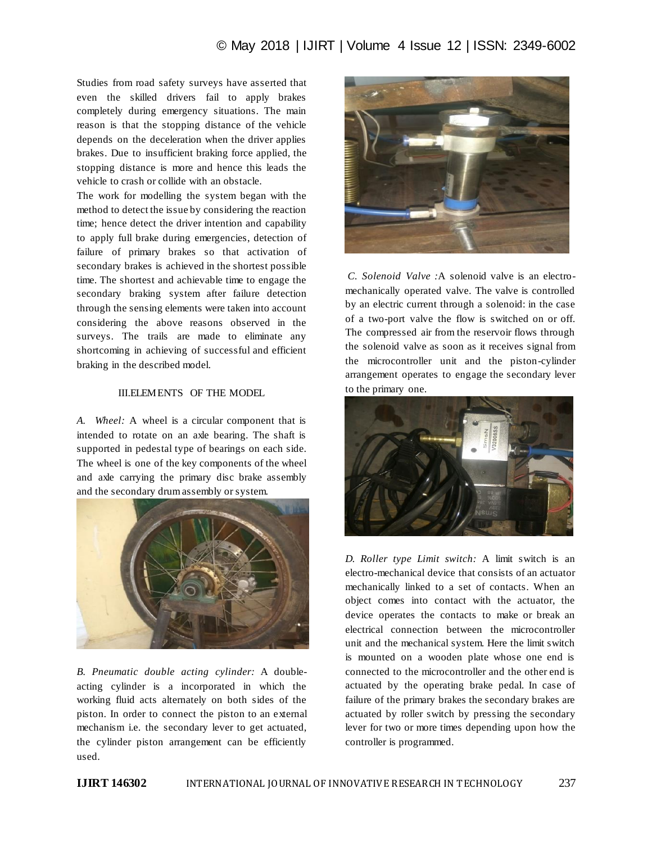Studies from road safety surveys have asserted that even the skilled drivers fail to apply brakes completely during emergency situations. The main reason is that the stopping distance of the vehicle depends on the deceleration when the driver applies brakes. Due to insufficient braking force applied, the stopping distance is more and hence this leads the vehicle to crash or collide with an obstacle.

The work for modelling the system began with the method to detect the issue by considering the reaction time; hence detect the driver intention and capability to apply full brake during emergencies, detection of failure of primary brakes so that activation of secondary brakes is achieved in the shortest possible time. The shortest and achievable time to engage the secondary braking system after failure detection through the sensing elements were taken into account considering the above reasons observed in the surveys. The trails are made to eliminate any shortcoming in achieving of successful and efficient braking in the described model.

## III.ELEMENTS OF THE MODEL

*A. Wheel:* A wheel is a circular component that is intended to rotate on an axle bearing. The shaft is supported in pedestal type of bearings on each side. The wheel is one of the key components of the wheel and axle carrying the primary disc brake assembly and the secondary drum assembly or system.



*B. Pneumatic double acting cylinder:* A doubleacting cylinder is a incorporated in which the working fluid acts alternately on both sides of the piston. In order to connect the piston to an external mechanism i.e. the secondary lever to get actuated, the cylinder piston arrangement can be efficiently used.



*C. Solenoid Valve :*A solenoid valve is an electromechanically operated valve. The valve is controlled by an electric current through a solenoid: in the case of a two-port valve the flow is switched on or off. The compressed air from the reservoir flows through the solenoid valve as soon as it receives signal from the microcontroller unit and the piston-cylinder arrangement operates to engage the secondary lever to the primary one.



*D. Roller type Limit switch:* A limit switch is an electro-mechanical device that consists of an actuator mechanically linked to a set of contacts. When an object comes into contact with the actuator, the device operates the contacts to make or break an electrical connection between the microcontroller unit and the mechanical system. Here the limit switch is mounted on a wooden plate whose one end is connected to the microcontroller and the other end is actuated by the operating brake pedal. In case of failure of the primary brakes the secondary brakes are actuated by roller switch by pressing the secondary lever for two or more times depending upon how the controller is programmed.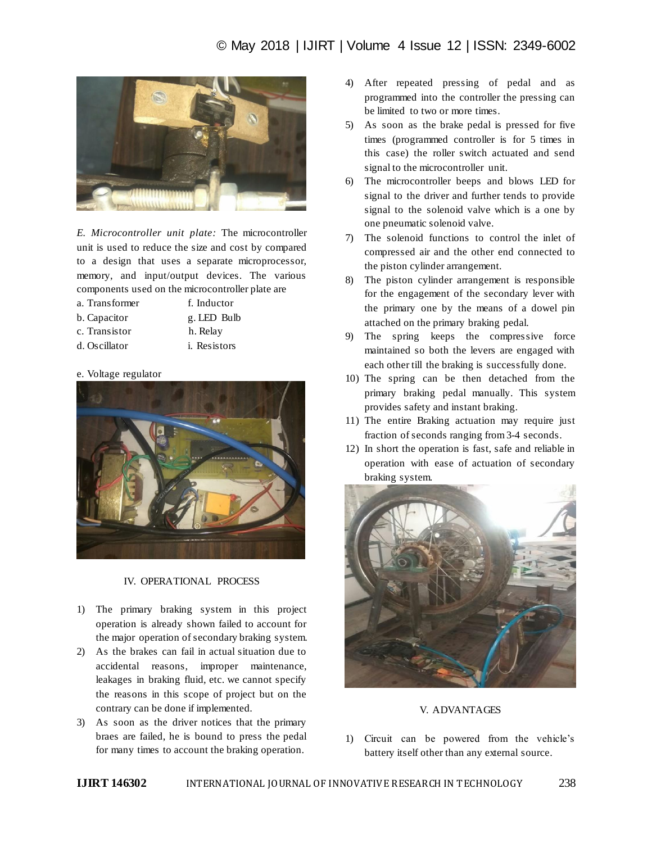

*E. Microcontroller unit plate:* The microcontroller unit is used to reduce the size and cost by compared to a design that uses a separate microprocessor, memory, and input/output devices. The various components used on the microcontroller plate are

- a. Transformer f. Inductor
- 
- b. Capacitor g. LED Bulb
- 
- c. Transistor h. Relay
- d. Oscillator i. Resistors

#### e. Voltage regulator



#### IV. OPERATIONAL PROCESS

- 1) The primary braking system in this project operation is already shown failed to account for the major operation of secondary braking system.
- 2) As the brakes can fail in actual situation due to accidental reasons, improper maintenance, leakages in braking fluid, etc. we cannot specify the reasons in this scope of project but on the contrary can be done if implemented.
- 3) As soon as the driver notices that the primary braes are failed, he is bound to press the pedal for many times to account the braking operation.
- 4) After repeated pressing of pedal and as programmed into the controller the pressing can be limited to two or more times.
- 5) As soon as the brake pedal is pressed for five times (programmed controller is for 5 times in this case) the roller switch actuated and send signal to the microcontroller unit.
- 6) The microcontroller beeps and blows LED for signal to the driver and further tends to provide signal to the solenoid valve which is a one by one pneumatic solenoid valve.
- 7) The solenoid functions to control the inlet of compressed air and the other end connected to the piston cylinder arrangement.
- 8) The piston cylinder arrangement is responsible for the engagement of the secondary lever with the primary one by the means of a dowel pin attached on the primary braking pedal.
- 9) The spring keeps the compressive force maintained so both the levers are engaged with each other till the braking is successfully done.
- 10) The spring can be then detached from the primary braking pedal manually. This system provides safety and instant braking.
- 11) The entire Braking actuation may require just fraction of seconds ranging from 3-4 seconds.
- 12) In short the operation is fast, safe and reliable in operation with ease of actuation of secondary braking system.



#### V. ADVANTAGES

1) Circuit can be powered from the vehicle"s battery itself other than any external source.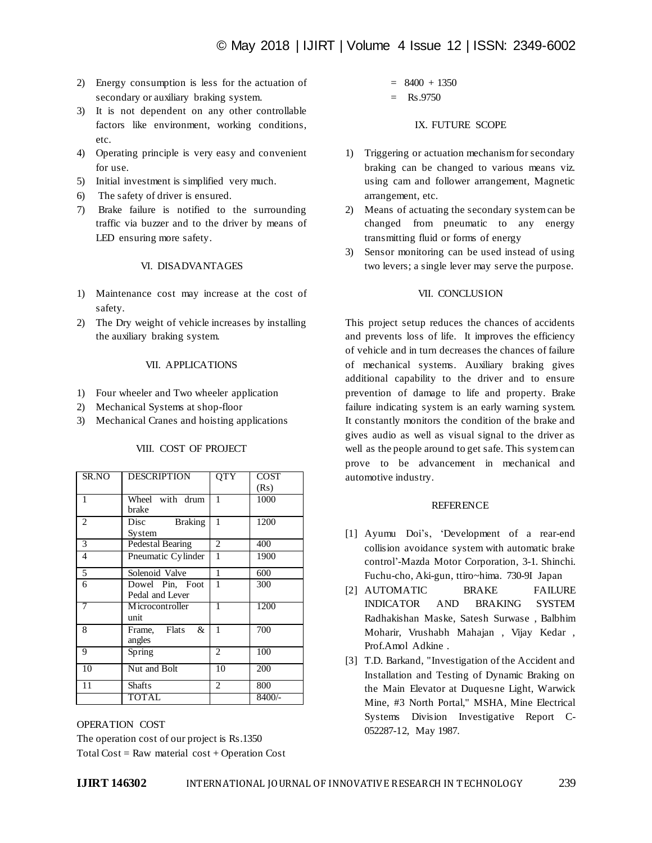- 2) Energy consumption is less for the actuation of secondary or auxiliary braking system.
- 3) It is not dependent on any other controllable factors like environment, working conditions, etc.
- 4) Operating principle is very easy and convenient for use.
- 5) Initial investment is simplified very much.
- 6) The safety of driver is ensured.
- 7) Brake failure is notified to the surrounding traffic via buzzer and to the driver by means of LED ensuring more safety.

#### VI. DISADVANTAGES

- 1) Maintenance cost may increase at the cost of safety.
- 2) The Dry weight of vehicle increases by installing the auxiliary braking system.

### VII. APPLICATIONS

- 1) Four wheeler and Two wheeler application
- 2) Mechanical Systems at shop-floor
- 3) Mechanical Cranes and hoisting applications

| SR.NO          | <b>DESCRIPTION</b>     | QTY            | <b>COST</b> |
|----------------|------------------------|----------------|-------------|
|                |                        |                | (Rs)        |
| 1              | Wheel with drum        | 1              | 1000        |
|                | brake                  |                |             |
| $\overline{2}$ | Disc<br><b>Braking</b> | 1              | 1200        |
|                | System                 |                |             |
| 3              | Pedestal Bearing       | 2              | 400         |
| $\overline{4}$ | Pneumatic Cylinder     | 1              | 1900        |
| 5              | Solenoid Valve         | 1              | 600         |
| 6              | Dowel Pin, Foot        | 1              | 300         |
|                | Pedal and Lever        |                |             |
| 7              | M icrocontroller       | 1              | 1200        |
|                | unit                   |                |             |
| 8              | Frame, Flats<br>&      | 1              | 700         |
|                | angles                 |                |             |
| 9              | Spring                 | $\overline{2}$ | 100         |
| 10             | Nut and Bolt           | 10             | 200         |
| 11             | <b>Shafts</b>          | $\overline{c}$ | 800         |
|                | <b>TOTAL</b>           |                | 8400/-      |

## VIII. COST OF PROJECT

OPERATION COST The operation cost of our project is Rs.1350 Total Cost = Raw material  $cost + Operation Cost$ 

$$
= 8400 + 1350
$$
  
= Rs.9750

### IX. FUTURE SCOPE

- 1) Triggering or actuation mechanism for secondary braking can be changed to various means viz. using cam and follower arrangement, Magnetic arrangement, etc.
- 2) Means of actuating the secondary system can be changed from pneumatic to any energy transmitting fluid or forms of energy
- 3) Sensor monitoring can be used instead of using two levers; a single lever may serve the purpose.

## VII. CONCLUSION

This project setup reduces the chances of accidents and prevents loss of life. It improves the efficiency of vehicle and in turn decreases the chances of failure of mechanical systems. Auxiliary braking gives additional capability to the driver and to ensure prevention of damage to life and property. Brake failure indicating system is an early warning system. It constantly monitors the condition of the brake and gives audio as well as visual signal to the driver as well as the people around to get safe. This system can prove to be advancement in mechanical and automotive industry.

#### REFERENCE

- [1] Ayumu Doi's, 'Development of a rear-end collision avoidance system with automatic brake control"-Mazda Motor Corporation, 3-1. Shinchi. Fuchu-cho, Aki-gun, ttiro~hima. 730-9I Japan
- [2] AUTOMATIC BRAKE FAILURE INDICATOR AND BRAKING SYSTEM Radhakishan Maske, Satesh Surwase , Balbhim Moharir, Vrushabh Mahajan , Vijay Kedar , Prof.Amol Adkine .
- [3] T.D. Barkand, "Investigation of the Accident and Installation and Testing of Dynamic Braking on the Main Elevator at Duquesne Light, Warwick Mine, #3 North Portal," MSHA, Mine Electrical Systems Division Investigative Report C-052287-12, May 1987.